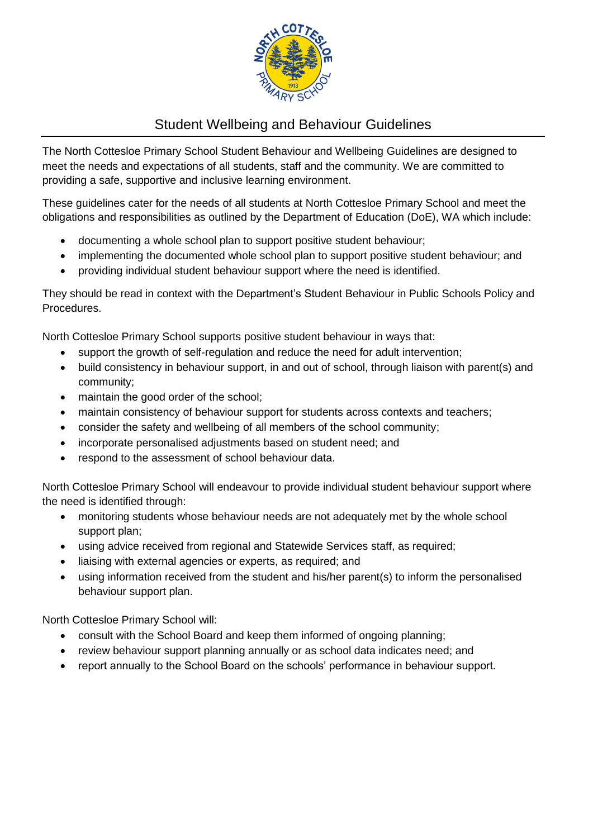

# Student Wellbeing and Behaviour Guidelines

The North Cottesloe Primary School Student Behaviour and Wellbeing Guidelines are designed to meet the needs and expectations of all students, staff and the community. We are committed to providing a safe, supportive and inclusive learning environment.

These guidelines cater for the needs of all students at North Cottesloe Primary School and meet the obligations and responsibilities as outlined by the Department of Education (DoE), WA which include:

- documenting a whole school plan to support positive student behaviour;
- implementing the documented whole school plan to support positive student behaviour; and
- providing individual student behaviour support where the need is identified.

They should be read in context with the Department's Student Behaviour in Public Schools Policy and Procedures.

North Cottesloe Primary School supports positive student behaviour in ways that:

- support the growth of self-regulation and reduce the need for adult intervention;
- build consistency in behaviour support, in and out of school, through liaison with parent(s) and community;
- maintain the good order of the school;
- maintain consistency of behaviour support for students across contexts and teachers;
- consider the safety and wellbeing of all members of the school community;
- incorporate personalised adjustments based on student need; and
- respond to the assessment of school behaviour data.

North Cottesloe Primary School will endeavour to provide individual student behaviour support where the need is identified through:

- monitoring students whose behaviour needs are not adequately met by the whole school support plan;
- using advice received from regional and Statewide Services staff, as required;
- liaising with external agencies or experts, as required; and
- using information received from the student and his/her parent(s) to inform the personalised behaviour support plan.

North Cottesloe Primary School will:

- consult with the School Board and keep them informed of ongoing planning;
- review behaviour support planning annually or as school data indicates need; and
- report annually to the School Board on the schools' performance in behaviour support.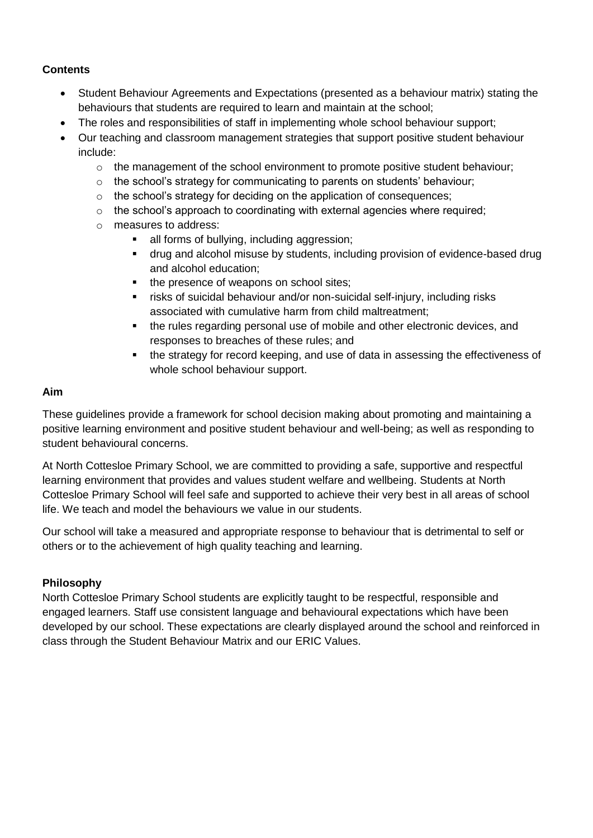#### **Contents**

- Student Behaviour Agreements and Expectations (presented as a behaviour matrix) stating the behaviours that students are required to learn and maintain at the school;
- The roles and responsibilities of staff in implementing whole school behaviour support;
- Our teaching and classroom management strategies that support positive student behaviour include:
	- $\circ$  the management of the school environment to promote positive student behaviour;
	- $\circ$  the school's strategy for communicating to parents on students' behaviour;
	- o the school's strategy for deciding on the application of consequences;
	- o the school's approach to coordinating with external agencies where required;
	- o measures to address:
		- all forms of bullying, including aggression;
		- drug and alcohol misuse by students, including provision of evidence-based drug and alcohol education;
		- the presence of weapons on school sites;
		- risks of suicidal behaviour and/or non-suicidal self-injury, including risks associated with cumulative harm from child maltreatment;
		- the rules regarding personal use of mobile and other electronic devices, and responses to breaches of these rules; and
		- the strategy for record keeping, and use of data in assessing the effectiveness of whole school behaviour support.

#### **Aim**

These guidelines provide a framework for school decision making about promoting and maintaining a positive learning environment and positive student behaviour and well-being; as well as responding to student behavioural concerns.

At North Cottesloe Primary School, we are committed to providing a safe, supportive and respectful learning environment that provides and values student welfare and wellbeing. Students at North Cottesloe Primary School will feel safe and supported to achieve their very best in all areas of school life. We teach and model the behaviours we value in our students.

Our school will take a measured and appropriate response to behaviour that is detrimental to self or others or to the achievement of high quality teaching and learning.

#### **Philosophy**

North Cottesloe Primary School students are explicitly taught to be respectful, responsible and engaged learners. Staff use consistent language and behavioural expectations which have been developed by our school. These expectations are clearly displayed around the school and reinforced in class through the Student Behaviour Matrix and our ERIC Values.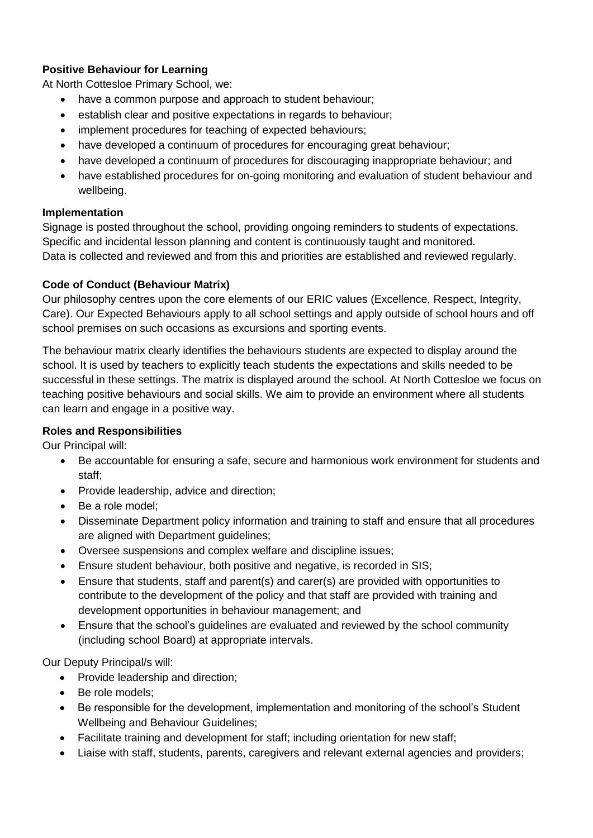### **Positive Behaviour for Learning**

At North Cottesloe Primary School, we:

- have a common purpose and approach to student behaviour;
- establish clear and positive expectations in regards to behaviour;
- implement procedures for teaching of expected behaviours;
- have developed a continuum of procedures for encouraging great behaviour;
- have developed a continuum of procedures for discouraging inappropriate behaviour; and
- have established procedures for on-going monitoring and evaluation of student behaviour and wellbeing.

#### **Implementation**

Signage is posted throughout the school, providing ongoing reminders to students of expectations. Specific and incidental lesson planning and content is continuously taught and monitored. Data is collected and reviewed and from this and priorities are established and reviewed regularly.

#### **Code of Conduct (Behaviour Matrix)**

Our philosophy centres upon the core elements of our ERIC values (Excellence, Respect, Integrity, Care). Our Expected Behaviours apply to all school settings and apply outside of school hours and off school premises on such occasions as excursions and sporting events.

The behaviour matrix clearly identifies the behaviours students are expected to display around the school. It is used by teachers to explicitly teach students the expectations and skills needed to be successful in these settings. The matrix is displayed around the school. At North Cottesloe we focus on teaching positive behaviours and social skills. We aim to provide an environment where all students can learn and engage in a positive way.

#### **Roles and Responsibilities**

Our Principal will:

- Be accountable for ensuring a safe, secure and harmonious work environment for students and staff;
- Provide leadership, advice and direction;
- Be a role model;
- Disseminate Department policy information and training to staff and ensure that all procedures are aligned with Department guidelines;
- Oversee suspensions and complex welfare and discipline issues;
- Ensure student behaviour, both positive and negative, is recorded in SIS;
- Ensure that students, staff and parent(s) and carer(s) are provided with opportunities to contribute to the development of the policy and that staff are provided with training and development opportunities in behaviour management; and
- Ensure that the school's guidelines are evaluated and reviewed by the school community (including school Board) at appropriate intervals.

Our Deputy Principal/s will:

- Provide leadership and direction;
- Be role models;
- Be responsible for the development, implementation and monitoring of the school's Student Wellbeing and Behaviour Guidelines;
- Facilitate training and development for staff; including orientation for new staff;
- Liaise with staff, students, parents, caregivers and relevant external agencies and providers;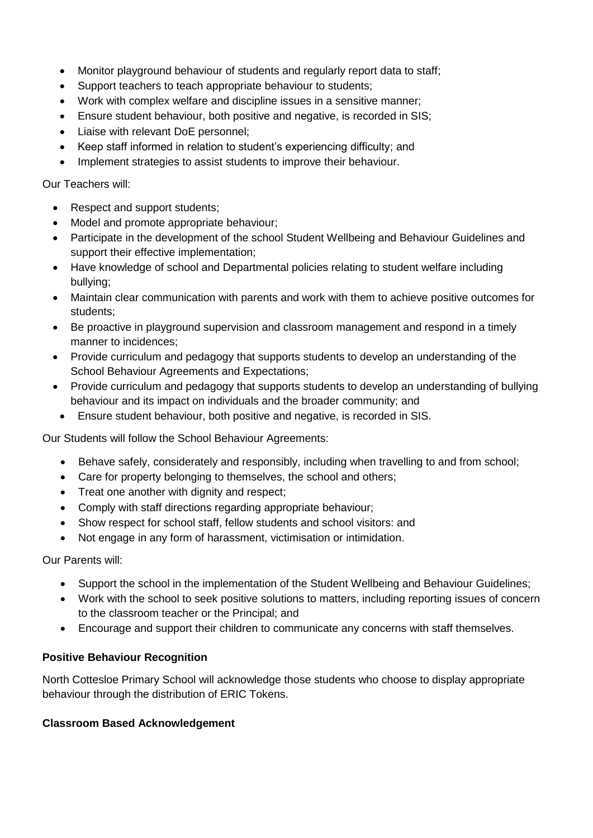- Monitor playground behaviour of students and regularly report data to staff;
- Support teachers to teach appropriate behaviour to students;
- Work with complex welfare and discipline issues in a sensitive manner;
- Ensure student behaviour, both positive and negative, is recorded in SIS;
- Liaise with relevant DoE personnel;
- Keep staff informed in relation to student's experiencing difficulty; and
- Implement strategies to assist students to improve their behaviour.

Our Teachers will:

- Respect and support students;
- Model and promote appropriate behaviour;
- Participate in the development of the school Student Wellbeing and Behaviour Guidelines and support their effective implementation;
- Have knowledge of school and Departmental policies relating to student welfare including bullying;
- Maintain clear communication with parents and work with them to achieve positive outcomes for students;
- Be proactive in playground supervision and classroom management and respond in a timely manner to incidences;
- Provide curriculum and pedagogy that supports students to develop an understanding of the School Behaviour Agreements and Expectations;
- Provide curriculum and pedagogy that supports students to develop an understanding of bullying behaviour and its impact on individuals and the broader community; and
	- Ensure student behaviour, both positive and negative, is recorded in SIS.

Our Students will follow the School Behaviour Agreements:

- Behave safely, considerately and responsibly, including when travelling to and from school;
- Care for property belonging to themselves, the school and others;
- Treat one another with dignity and respect;
- Comply with staff directions regarding appropriate behaviour;
- Show respect for school staff, fellow students and school visitors: and
- Not engage in any form of harassment, victimisation or intimidation.

Our Parents will:

- Support the school in the implementation of the Student Wellbeing and Behaviour Guidelines;
- Work with the school to seek positive solutions to matters, including reporting issues of concern to the classroom teacher or the Principal; and
- Encourage and support their children to communicate any concerns with staff themselves.

#### **Positive Behaviour Recognition**

North Cottesloe Primary School will acknowledge those students who choose to display appropriate behaviour through the distribution of ERIC Tokens.

#### **Classroom Based Acknowledgement**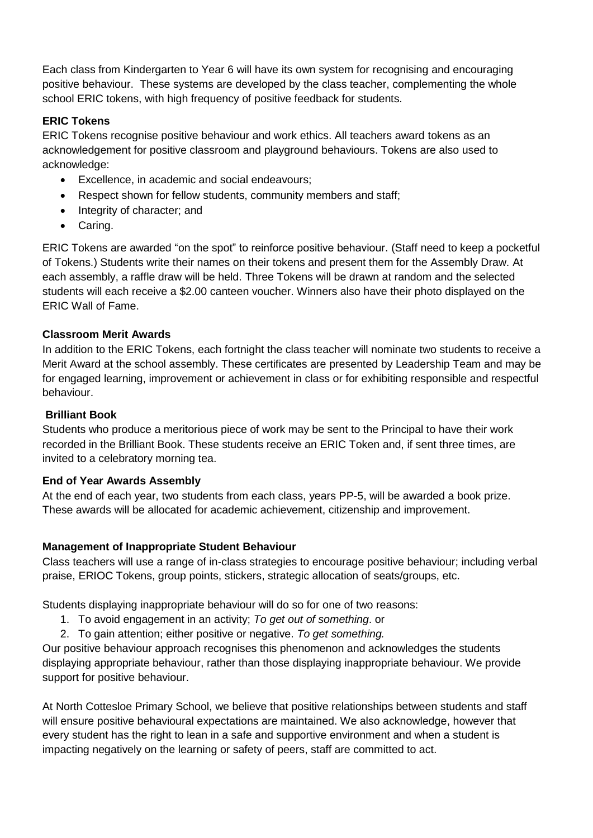Each class from Kindergarten to Year 6 will have its own system for recognising and encouraging positive behaviour. These systems are developed by the class teacher, complementing the whole school ERIC tokens, with high frequency of positive feedback for students.

#### **ERIC Tokens**

ERIC Tokens recognise positive behaviour and work ethics. All teachers award tokens as an acknowledgement for positive classroom and playground behaviours. Tokens are also used to acknowledge:

- Excellence, in academic and social endeavours;
- Respect shown for fellow students, community members and staff;
- Integrity of character; and
- Caring.

ERIC Tokens are awarded "on the spot" to reinforce positive behaviour. (Staff need to keep a pocketful of Tokens.) Students write their names on their tokens and present them for the Assembly Draw. At each assembly, a raffle draw will be held. Three Tokens will be drawn at random and the selected students will each receive a \$2.00 canteen voucher. Winners also have their photo displayed on the ERIC Wall of Fame.

#### **Classroom Merit Awards**

In addition to the ERIC Tokens, each fortnight the class teacher will nominate two students to receive a Merit Award at the school assembly. These certificates are presented by Leadership Team and may be for engaged learning, improvement or achievement in class or for exhibiting responsible and respectful behaviour.

#### **Brilliant Book**

Students who produce a meritorious piece of work may be sent to the Principal to have their work recorded in the Brilliant Book. These students receive an ERIC Token and, if sent three times, are invited to a celebratory morning tea.

#### **End of Year Awards Assembly**

At the end of each year, two students from each class, years PP-5, will be awarded a book prize. These awards will be allocated for academic achievement, citizenship and improvement.

#### **Management of Inappropriate Student Behaviour**

Class teachers will use a range of in-class strategies to encourage positive behaviour; including verbal praise, ERIOC Tokens, group points, stickers, strategic allocation of seats/groups, etc.

Students displaying inappropriate behaviour will do so for one of two reasons:

- 1. To avoid engagement in an activity; *To get out of something*. or
- 2. To gain attention; either positive or negative. *To get something.*

Our positive behaviour approach recognises this phenomenon and acknowledges the students displaying appropriate behaviour, rather than those displaying inappropriate behaviour. We provide support for positive behaviour.

At North Cottesloe Primary School, we believe that positive relationships between students and staff will ensure positive behavioural expectations are maintained. We also acknowledge, however that every student has the right to lean in a safe and supportive environment and when a student is impacting negatively on the learning or safety of peers, staff are committed to act.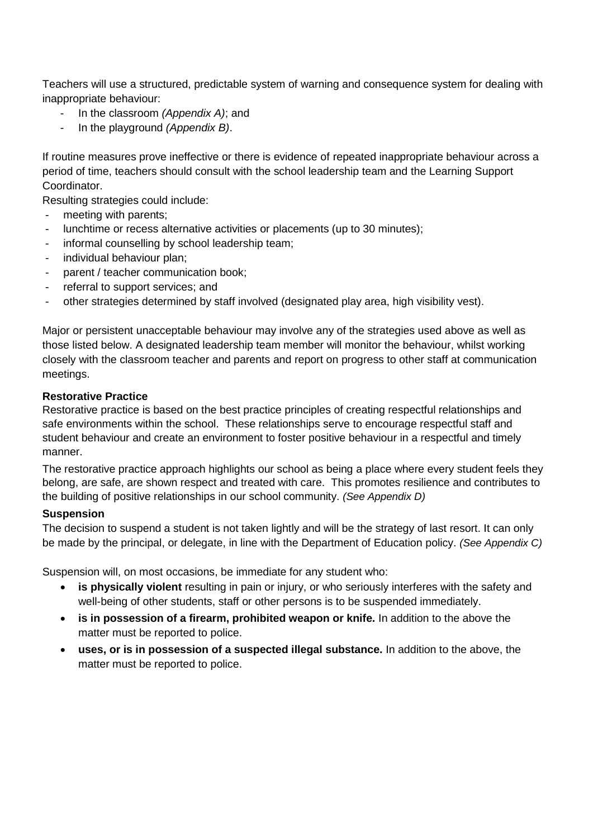Teachers will use a structured, predictable system of warning and consequence system for dealing with inappropriate behaviour:

- In the classroom *(Appendix A)*; and
- In the playground *(Appendix B)*.

If routine measures prove ineffective or there is evidence of repeated inappropriate behaviour across a period of time, teachers should consult with the school leadership team and the Learning Support Coordinator.

Resulting strategies could include:

- meeting with parents;
- lunchtime or recess alternative activities or placements (up to 30 minutes);
- informal counselling by school leadership team;
- individual behaviour plan;
- parent / teacher communication book;
- referral to support services; and
- other strategies determined by staff involved (designated play area, high visibility vest).

Major or persistent unacceptable behaviour may involve any of the strategies used above as well as those listed below. A designated leadership team member will monitor the behaviour, whilst working closely with the classroom teacher and parents and report on progress to other staff at communication meetings.

#### **Restorative Practice**

Restorative practice is based on the best practice principles of creating respectful relationships and safe environments within the school. These relationships serve to encourage respectful staff and student behaviour and create an environment to foster positive behaviour in a respectful and timely manner.

The restorative practice approach highlights our school as being a place where every student feels they belong, are safe, are shown respect and treated with care. This promotes resilience and contributes to the building of positive relationships in our school community. *(See Appendix D)*

#### **Suspension**

The decision to suspend a student is not taken lightly and will be the strategy of last resort. It can only be made by the principal, or delegate, in line with the Department of Education policy. *(See Appendix C)*

Suspension will, on most occasions, be immediate for any student who:

- **is physically violent** resulting in pain or injury, or who seriously interferes with the safety and well-being of other students, staff or other persons is to be suspended immediately.
- **is in possession of a firearm, prohibited weapon or knife.** In addition to the above the matter must be reported to police.
- **uses, or is in possession of a suspected illegal substance.** In addition to the above, the matter must be reported to police.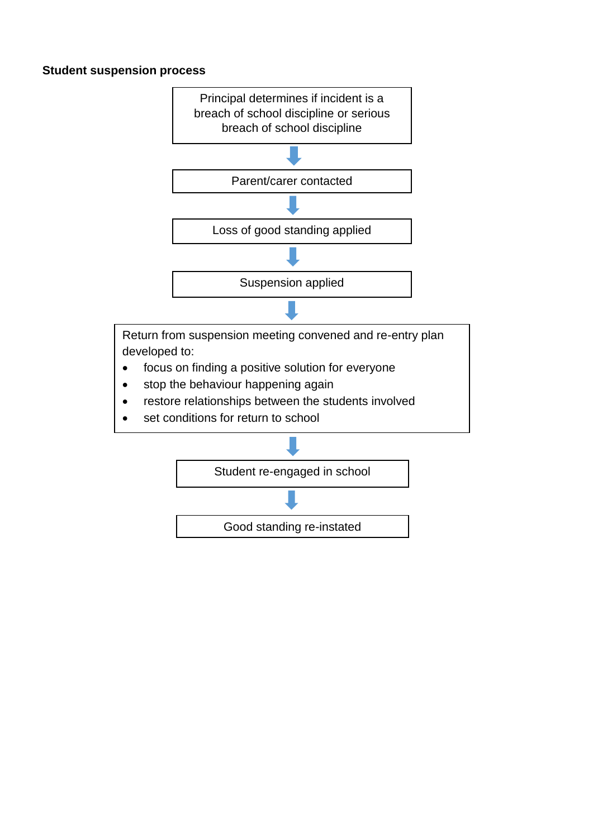#### **Student suspension process**

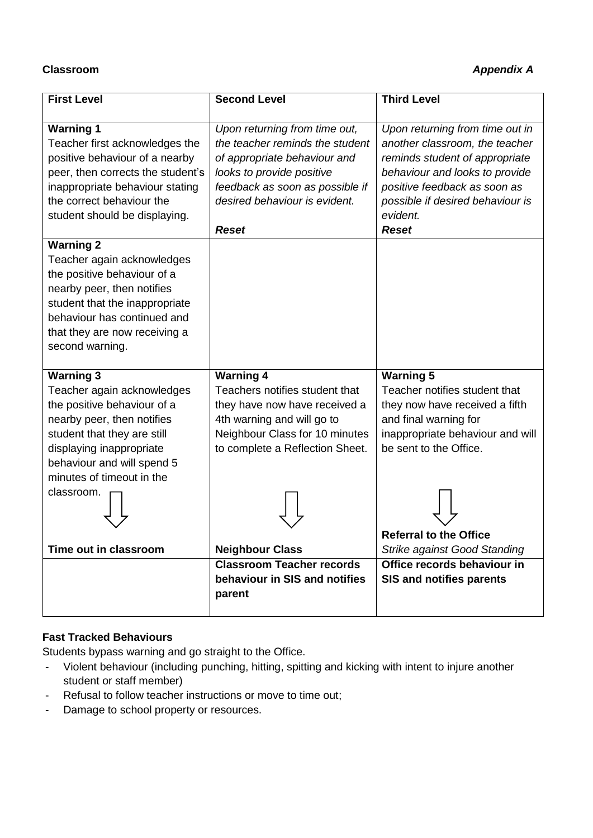### **Classroom** *Appendix A*

| <b>First Level</b>                                                                                                                                                                                                                              | <b>Second Level</b>                                                                                                                                                                                               | <b>Third Level</b>                                                                                                                                                                                                                    |
|-------------------------------------------------------------------------------------------------------------------------------------------------------------------------------------------------------------------------------------------------|-------------------------------------------------------------------------------------------------------------------------------------------------------------------------------------------------------------------|---------------------------------------------------------------------------------------------------------------------------------------------------------------------------------------------------------------------------------------|
| <b>Warning 1</b><br>Teacher first acknowledges the<br>positive behaviour of a nearby<br>peer, then corrects the student's<br>inappropriate behaviour stating<br>the correct behaviour the<br>student should be displaying.                      | Upon returning from time out,<br>the teacher reminds the student<br>of appropriate behaviour and<br>looks to provide positive<br>feedback as soon as possible if<br>desired behaviour is evident.<br><b>Reset</b> | Upon returning from time out in<br>another classroom, the teacher<br>reminds student of appropriate<br>behaviour and looks to provide<br>positive feedback as soon as<br>possible if desired behaviour is<br>evident.<br><b>Reset</b> |
| <b>Warning 2</b><br>Teacher again acknowledges<br>the positive behaviour of a<br>nearby peer, then notifies<br>student that the inappropriate<br>behaviour has continued and<br>that they are now receiving a<br>second warning.                |                                                                                                                                                                                                                   |                                                                                                                                                                                                                                       |
| <b>Warning 3</b><br>Teacher again acknowledges<br>the positive behaviour of a<br>nearby peer, then notifies<br>student that they are still<br>displaying inappropriate<br>behaviour and will spend 5<br>minutes of timeout in the<br>classroom. | <b>Warning 4</b><br>Teachers notifies student that<br>they have now have received a<br>4th warning and will go to<br>Neighbour Class for 10 minutes<br>to complete a Reflection Sheet.                            | <b>Warning 5</b><br>Teacher notifies student that<br>they now have received a fifth<br>and final warning for<br>inappropriate behaviour and will<br>be sent to the Office.<br><b>Referral to the Office</b>                           |
| Time out in classroom                                                                                                                                                                                                                           | <b>Neighbour Class</b>                                                                                                                                                                                            | <b>Strike against Good Standing</b>                                                                                                                                                                                                   |
|                                                                                                                                                                                                                                                 | <b>Classroom Teacher records</b><br>behaviour in SIS and notifies<br>parent                                                                                                                                       | Office records behaviour in<br><b>SIS and notifies parents</b>                                                                                                                                                                        |

#### **Fast Tracked Behaviours**

Students bypass warning and go straight to the Office.

- Violent behaviour (including punching, hitting, spitting and kicking with intent to injure another student or staff member)
- Refusal to follow teacher instructions or move to time out;
- Damage to school property or resources.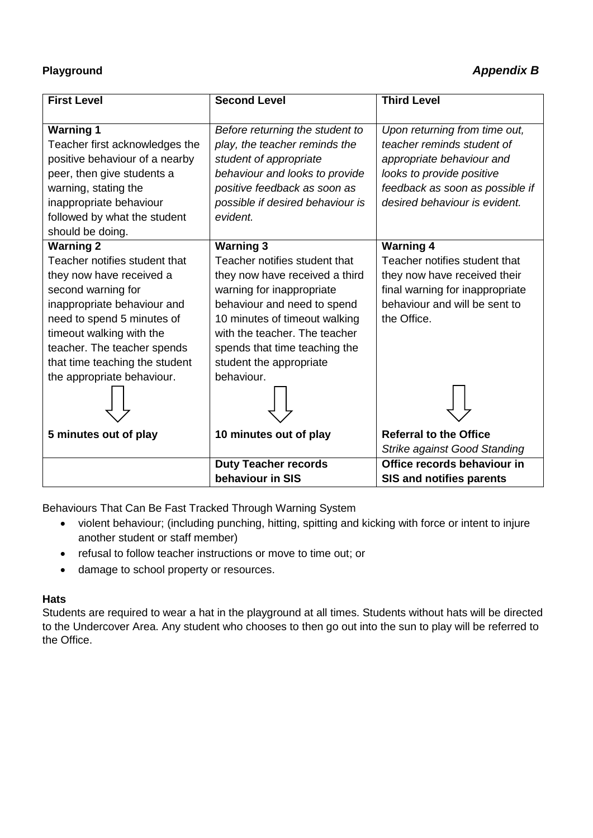## **Playground** *Appendix B*

| <b>First Level</b>             | <b>Second Level</b>              | <b>Third Level</b>                  |
|--------------------------------|----------------------------------|-------------------------------------|
| <b>Warning 1</b>               | Before returning the student to  | Upon returning from time out,       |
| Teacher first acknowledges the | play, the teacher reminds the    | teacher reminds student of          |
| positive behaviour of a nearby | student of appropriate           | appropriate behaviour and           |
| peer, then give students a     | behaviour and looks to provide   | looks to provide positive           |
| warning, stating the           | positive feedback as soon as     | feedback as soon as possible if     |
| inappropriate behaviour        | possible if desired behaviour is | desired behaviour is evident.       |
| followed by what the student   | evident.                         |                                     |
| should be doing.               |                                  |                                     |
| <b>Warning 2</b>               | <b>Warning 3</b>                 | <b>Warning 4</b>                    |
| Teacher notifies student that  | Teacher notifies student that    | Teacher notifies student that       |
| they now have received a       | they now have received a third   | they now have received their        |
| second warning for             | warning for inappropriate        | final warning for inappropriate     |
| inappropriate behaviour and    | behaviour and need to spend      | behaviour and will be sent to       |
| need to spend 5 minutes of     | 10 minutes of timeout walking    | the Office.                         |
| timeout walking with the       | with the teacher. The teacher    |                                     |
| teacher. The teacher spends    | spends that time teaching the    |                                     |
| that time teaching the student | student the appropriate          |                                     |
| the appropriate behaviour.     | behaviour.                       |                                     |
|                                |                                  |                                     |
|                                |                                  |                                     |
| 5 minutes out of play          | 10 minutes out of play           | <b>Referral to the Office</b>       |
|                                |                                  | <b>Strike against Good Standing</b> |
|                                | <b>Duty Teacher records</b>      | Office records behaviour in         |
|                                | behaviour in SIS                 | <b>SIS and notifies parents</b>     |

Behaviours That Can Be Fast Tracked Through Warning System

- violent behaviour; (including punching, hitting, spitting and kicking with force or intent to injure another student or staff member)
- refusal to follow teacher instructions or move to time out; or
- damage to school property or resources.

#### **Hats**

Students are required to wear a hat in the playground at all times. Students without hats will be directed to the Undercover Area. Any student who chooses to then go out into the sun to play will be referred to the Office.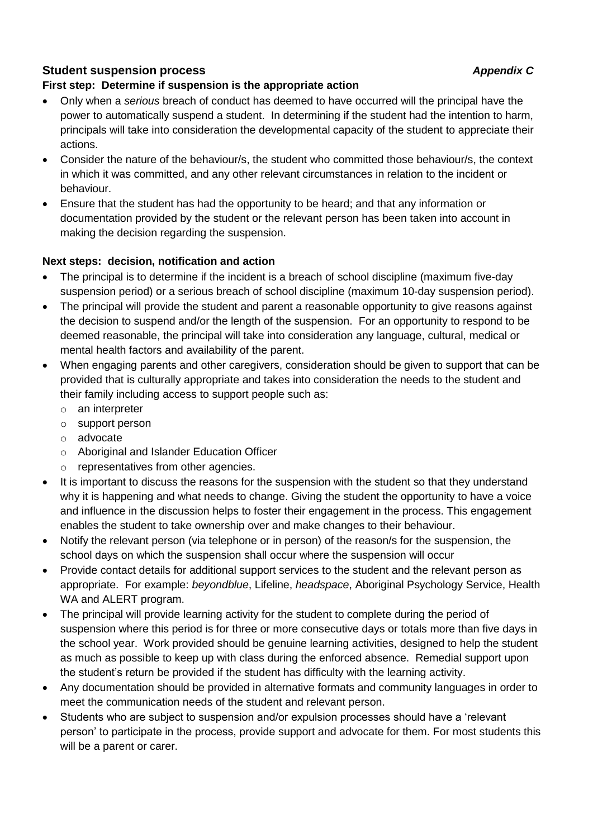### **Student suspension process** *Appendix C*

#### **First step: Determine if suspension is the appropriate action**

- Only when a *serious* breach of conduct has deemed to have occurred will the principal have the power to automatically suspend a student. In determining if the student had the intention to harm, principals will take into consideration the developmental capacity of the student to appreciate their actions.
- Consider the nature of the behaviour/s, the student who committed those behaviour/s, the context in which it was committed, and any other relevant circumstances in relation to the incident or behaviour.
- Ensure that the student has had the opportunity to be heard; and that any information or documentation provided by the student or the relevant person has been taken into account in making the decision regarding the suspension.

#### **Next steps: decision, notification and action**

- The principal is to determine if the incident is a breach of school discipline (maximum five-day suspension period) or a serious breach of school discipline (maximum 10-day suspension period).
- The principal will provide the student and parent a reasonable opportunity to give reasons against the decision to suspend and/or the length of the suspension. For an opportunity to respond to be deemed reasonable, the principal will take into consideration any language, cultural, medical or mental health factors and availability of the parent.
- When engaging parents and other caregivers, consideration should be given to support that can be provided that is culturally appropriate and takes into consideration the needs to the student and their family including access to support people such as:
	- o an interpreter
	- o support person
	- o advocate
	- o Aboriginal and Islander Education Officer
	- o representatives from other agencies.
- It is important to discuss the reasons for the suspension with the student so that they understand why it is happening and what needs to change. Giving the student the opportunity to have a voice and influence in the discussion helps to foster their engagement in the process. This engagement enables the student to take ownership over and make changes to their behaviour.
- Notify the relevant person (via telephone or in person) of the reason/s for the suspension, the school days on which the suspension shall occur where the suspension will occur
- Provide contact details for additional support services to the student and the relevant person as appropriate. For example: *beyondblue*, Lifeline, *headspace*, Aboriginal Psychology Service, Health WA and ALERT program.
- The principal will provide learning activity for the student to complete during the period of suspension where this period is for three or more consecutive days or totals more than five days in the school year. Work provided should be genuine learning activities, designed to help the student as much as possible to keep up with class during the enforced absence. Remedial support upon the student's return be provided if the student has difficulty with the learning activity.
- Any documentation should be provided in alternative formats and community languages in order to meet the communication needs of the student and relevant person.
- Students who are subject to suspension and/or expulsion processes should have a 'relevant person' to participate in the process, provide support and advocate for them. For most students this will be a parent or carer.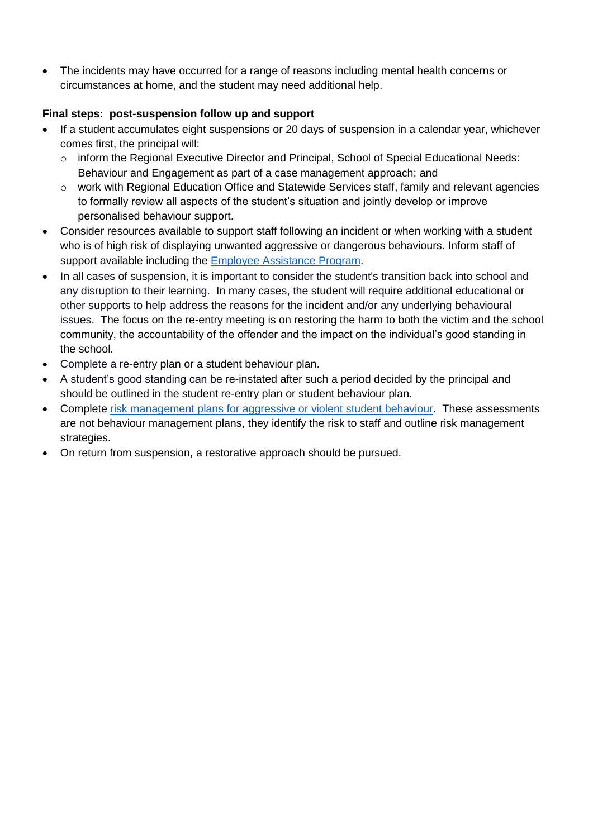The incidents may have occurred for a range of reasons including mental health concerns or circumstances at home, and the student may need additional help.

#### **Final steps: post-suspension follow up and support**

- If a student accumulates eight suspensions or 20 days of suspension in a calendar year, whichever comes first, the principal will:
	- o inform the Regional Executive Director and Principal, School of Special Educational Needs: Behaviour and Engagement as part of a case management approach; and
	- $\circ$  work with Regional Education Office and Statewide Services staff, family and relevant agencies to formally review all aspects of the student's situation and jointly develop or improve personalised behaviour support.
- Consider resources available to support staff following an incident or when working with a student who is of high risk of displaying unwanted aggressive or dangerous behaviours. Inform staff of support available including the [Employee Assistance Program](http://det.wa.edu.au/intranet/employeesupportbureau/detcms/navigation/employee-assistance-program/#toc4).
- In all cases of suspension, it is important to consider the student's transition back into school and any disruption to their learning. In many cases, the student will require additional educational or other supports to help address the reasons for the incident and/or any underlying behavioural issues. The focus on the re-entry meeting is on restoring the harm to both the victim and the school community, the accountability of the offender and the impact on the individual's good standing in the school.
- Complete a re-entry plan or a student behaviour plan.
- A student's good standing can be re-instated after such a period decided by the principal and should be outlined in the student re-entry plan or student behaviour plan.
- Complete [risk management plans for aggressive or violent student behaviour.](http://det.wa.edu.au/redirect/?oid=com.arsdigita.cms.contenttypes.FileStorageItem-id-18582261&title=Risk+management+plan+-+Aggressive+and+violent+student+behaviour) These assessments are not behaviour management plans, they identify the risk to staff and outline risk management strategies.
- On return from suspension, a restorative approach should be pursued.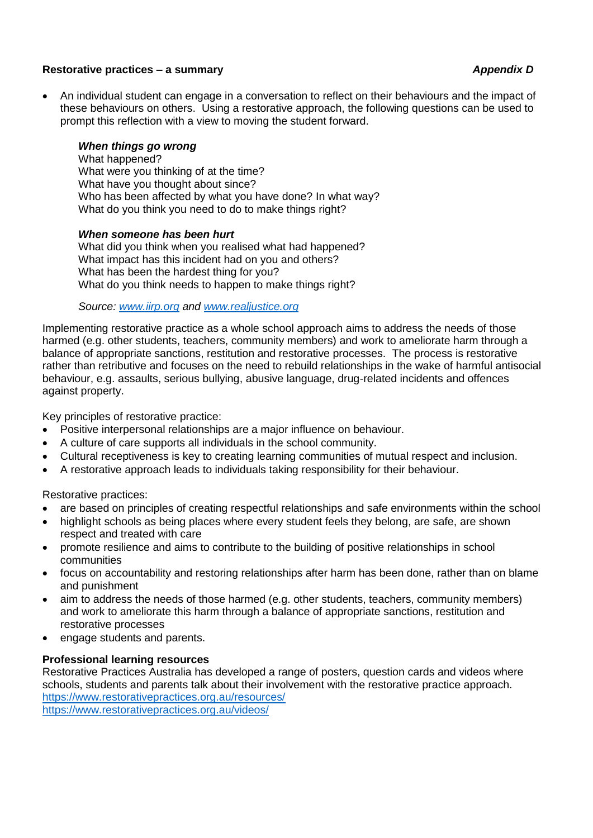#### **Restorative practices – a summary** *Appendix D*

 An individual student can engage in a conversation to reflect on their behaviours and the impact of these behaviours on others. Using a restorative approach, the following questions can be used to prompt this reflection with a view to moving the student forward.

#### *When things go wrong*

What happened? What were you thinking of at the time? What have you thought about since? Who has been affected by what you have done? In what way? What do you think you need to do to make things right?

#### *When someone has been hurt*

What did you think when you realised what had happened? What impact has this incident had on you and others? What has been the hardest thing for you? What do you think needs to happen to make things right?

#### *Source: [www.iirp.org](http://www.iirp.org/) and [www.realjustice.org](http://www.realjustice.org/)*

Implementing restorative practice as a whole school approach aims to address the needs of those harmed (e.g. other students, teachers, community members) and work to ameliorate harm through a balance of appropriate sanctions, restitution and restorative processes. The process is restorative rather than retributive and focuses on the need to rebuild relationships in the wake of harmful antisocial behaviour, e.g. assaults, serious bullying, abusive language, drug-related incidents and offences against property.

Key principles of restorative practice:

- Positive interpersonal relationships are a major influence on behaviour.
- A culture of care supports all individuals in the school community.
- Cultural receptiveness is key to creating learning communities of mutual respect and inclusion.
- A restorative approach leads to individuals taking responsibility for their behaviour.

Restorative practices:

- are based on principles of creating respectful relationships and safe environments within the school
- highlight schools as being places where every student feels they belong, are safe, are shown respect and treated with care
- promote resilience and aims to contribute to the building of positive relationships in school communities
- focus on accountability and restoring relationships after harm has been done, rather than on blame and punishment
- aim to address the needs of those harmed (e.g. other students, teachers, community members) and work to ameliorate this harm through a balance of appropriate sanctions, restitution and restorative processes
- engage students and parents.

#### **Professional learning resources**

Restorative Practices Australia has developed a range of posters, question cards and videos where schools, students and parents talk about their involvement with the restorative practice approach. <https://www.restorativepractices.org.au/resources/> <https://www.restorativepractices.org.au/videos/>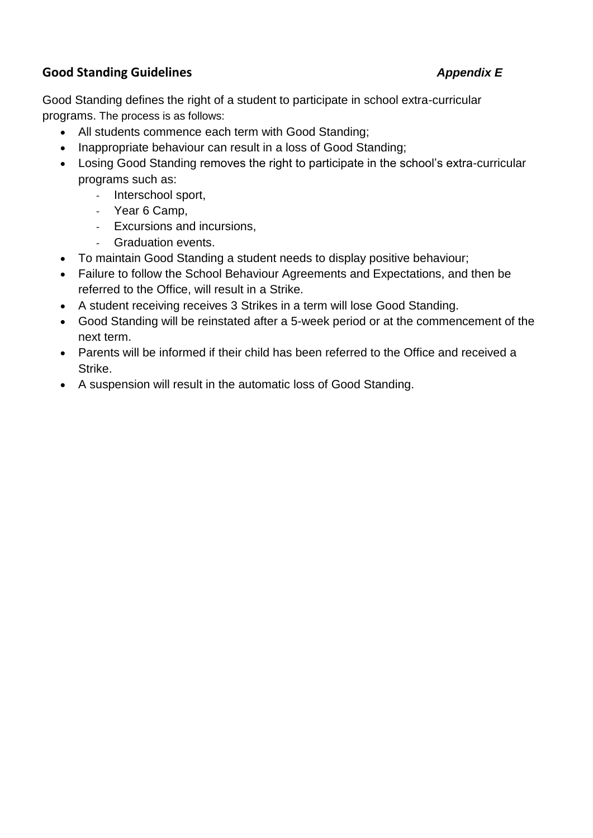## **Good Standing Guidelines** *Appendix E*

Good Standing defines the right of a student to participate in school extra-curricular programs. The process is as follows:

- All students commence each term with Good Standing;
- Inappropriate behaviour can result in a loss of Good Standing;
- Losing Good Standing removes the right to participate in the school's extra-curricular programs such as:
	- Interschool sport,
	- Year 6 Camp,
	- Excursions and incursions,
	- Graduation events.
- To maintain Good Standing a student needs to display positive behaviour;
- Failure to follow the School Behaviour Agreements and Expectations, and then be referred to the Office, will result in a Strike.
- A student receiving receives 3 Strikes in a term will lose Good Standing.
- Good Standing will be reinstated after a 5-week period or at the commencement of the next term.
- Parents will be informed if their child has been referred to the Office and received a Strike.
- A suspension will result in the automatic loss of Good Standing.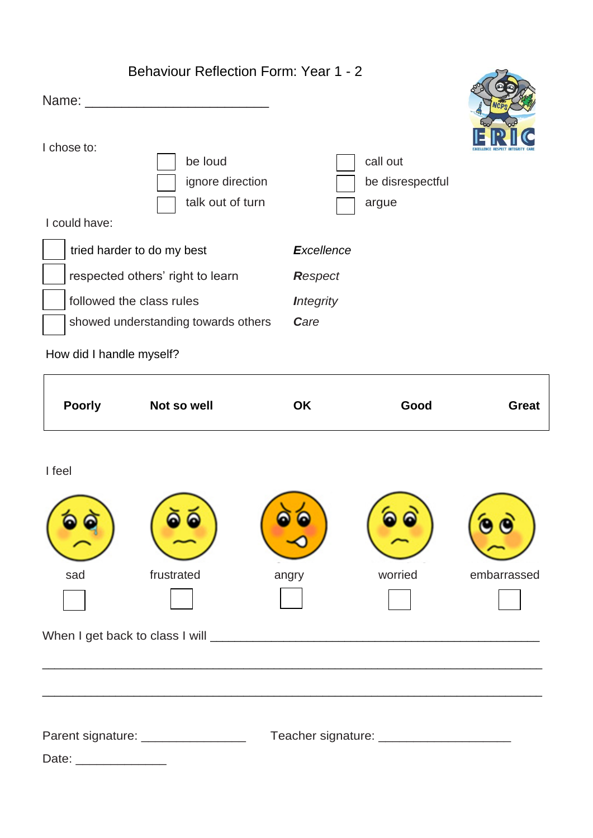|                            | <b>Behaviour Reflection Form: Year 1 - 2</b>    |                          |                                            |              |
|----------------------------|-------------------------------------------------|--------------------------|--------------------------------------------|--------------|
| I chose to:                |                                                 |                          |                                            |              |
|                            | be loud<br>ignore direction<br>talk out of turn |                          | call out<br>be disrespectful<br>argue      |              |
| I could have:              |                                                 |                          |                                            |              |
| tried harder to do my best |                                                 | <b>Excellence</b>        |                                            |              |
|                            | respected others' right to learn                | <b>Respect</b>           |                                            |              |
| followed the class rules   | showed understanding towards others             | <b>Integrity</b><br>Care |                                            |              |
| How did I handle myself?   |                                                 |                          |                                            |              |
| <b>Poorly</b>              | Not so well                                     | <b>OK</b>                | Good                                       | <b>Great</b> |
| I feel                     |                                                 |                          |                                            |              |
| sad                        | frustrated                                      | angry                    | worried                                    | embarrassed  |
|                            |                                                 |                          |                                            |              |
|                            | Parent signature: __________________            |                          | Teacher signature: _______________________ |              |
| Date: ________________     |                                                 |                          |                                            |              |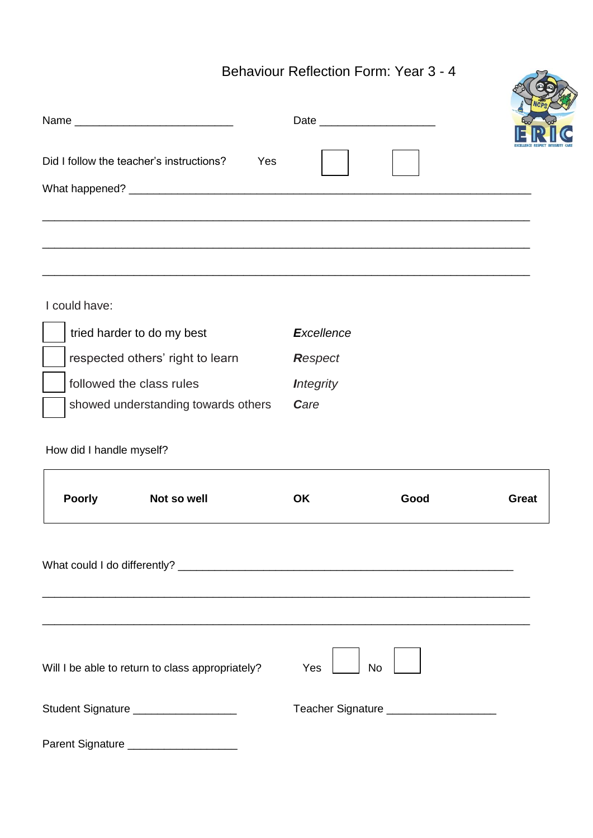# Behaviour Reflection Form: Year 3 - 4

|                          |                                                           |                   | <b>Behaviour Reflection Form: Year 3 - 4</b> |              |
|--------------------------|-----------------------------------------------------------|-------------------|----------------------------------------------|--------------|
|                          |                                                           |                   |                                              |              |
|                          | Did I follow the teacher's instructions?<br>Yes           |                   |                                              |              |
|                          | <u> 1989 - Jan Barnett, fransk politik (d. 1989)</u>      |                   |                                              |              |
| I could have:            |                                                           |                   |                                              |              |
|                          | tried harder to do my best                                | <b>Excellence</b> |                                              |              |
|                          | respected others' right to learn                          | Respect           |                                              |              |
|                          | followed the class rules                                  | <b>Integrity</b>  |                                              |              |
|                          | showed understanding towards others                       | Care              |                                              |              |
| How did I handle myself? |                                                           |                   |                                              |              |
| <b>Poorly</b>            | Not so well                                               | OK                | Good                                         | <b>Great</b> |
|                          | <u> 1989 - John Stone, Amerikaansk politiker (* 1989)</u> |                   |                                              |              |
|                          | Will I be able to return to class appropriately?          | Yes               | <b>No</b>                                    |              |
|                          | Student Signature ___________________                     |                   | Teacher Signature _____________________      |              |
|                          | Parent Signature _____________________                    |                   |                                              |              |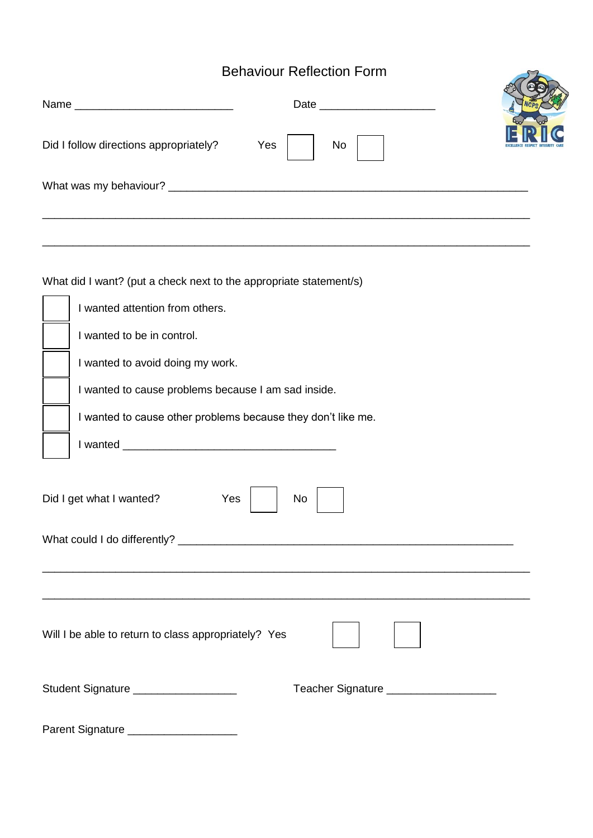# Behaviour Reflection Form

| <b>Behaviour Reflection Form</b> |  |  |
|----------------------------------|--|--|
|                                  |  |  |
| Yes<br>No                        |  |  |
|                                  |  |  |
|                                  |  |  |
|                                  |  |  |

What did I want? (put a check next to the appropriate statement/s)

| I wanted attention from others.                                                                                                                                                                                                                                                                                                                                                                                                                                                            |
|--------------------------------------------------------------------------------------------------------------------------------------------------------------------------------------------------------------------------------------------------------------------------------------------------------------------------------------------------------------------------------------------------------------------------------------------------------------------------------------------|
| I wanted to be in control.                                                                                                                                                                                                                                                                                                                                                                                                                                                                 |
| I wanted to avoid doing my work.                                                                                                                                                                                                                                                                                                                                                                                                                                                           |
| I wanted to cause problems because I am sad inside.                                                                                                                                                                                                                                                                                                                                                                                                                                        |
| I wanted to cause other problems because they don't like me.                                                                                                                                                                                                                                                                                                                                                                                                                               |
|                                                                                                                                                                                                                                                                                                                                                                                                                                                                                            |
| Did I get what I wanted?<br>Yes<br><b>No</b>                                                                                                                                                                                                                                                                                                                                                                                                                                               |
| Will I be able to return to class appropriately? Yes                                                                                                                                                                                                                                                                                                                                                                                                                                       |
| Student Signature ___________________<br>Teacher Signature _____________________                                                                                                                                                                                                                                                                                                                                                                                                           |
| $\blacksquare$ $\blacksquare$ $\blacksquare$ $\blacksquare$ $\blacksquare$ $\blacksquare$ $\blacksquare$ $\blacksquare$ $\blacksquare$ $\blacksquare$ $\blacksquare$ $\blacksquare$ $\blacksquare$ $\blacksquare$ $\blacksquare$ $\blacksquare$ $\blacksquare$ $\blacksquare$ $\blacksquare$ $\blacksquare$ $\blacksquare$ $\blacksquare$ $\blacksquare$ $\blacksquare$ $\blacksquare$ $\blacksquare$ $\blacksquare$ $\blacksquare$ $\blacksquare$ $\blacksquare$ $\blacksquare$ $\blacks$ |

Parent Signature \_\_\_\_\_\_\_\_\_\_\_\_\_\_\_\_\_\_